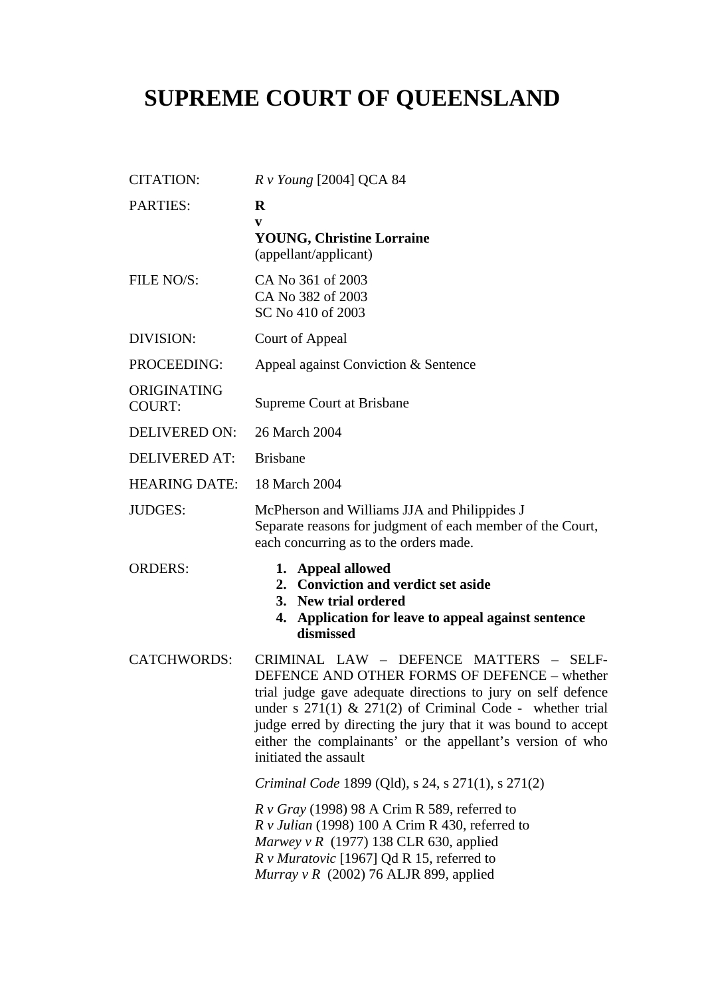## **SUPREME COURT OF QUEENSLAND**

| <b>CITATION:</b>             | $Rv$ Young [2004] QCA 84                                                                                                                                                                                                                                                                                                                                                       |
|------------------------------|--------------------------------------------------------------------------------------------------------------------------------------------------------------------------------------------------------------------------------------------------------------------------------------------------------------------------------------------------------------------------------|
| <b>PARTIES:</b>              | $\bf{R}$<br>V<br><b>YOUNG, Christine Lorraine</b><br>(appellant/applicant)                                                                                                                                                                                                                                                                                                     |
| FILE NO/S:                   | CA No 361 of 2003<br>CA No 382 of 2003<br>SC No 410 of 2003                                                                                                                                                                                                                                                                                                                    |
| DIVISION:                    | Court of Appeal                                                                                                                                                                                                                                                                                                                                                                |
| PROCEEDING:                  | Appeal against Conviction & Sentence                                                                                                                                                                                                                                                                                                                                           |
| ORIGINATING<br><b>COURT:</b> | Supreme Court at Brisbane                                                                                                                                                                                                                                                                                                                                                      |
| <b>DELIVERED ON:</b>         | 26 March 2004                                                                                                                                                                                                                                                                                                                                                                  |
| <b>DELIVERED AT:</b>         | <b>Brisbane</b>                                                                                                                                                                                                                                                                                                                                                                |
| <b>HEARING DATE:</b>         | 18 March 2004                                                                                                                                                                                                                                                                                                                                                                  |
| <b>JUDGES:</b>               | McPherson and Williams JJA and Philippides J<br>Separate reasons for judgment of each member of the Court,<br>each concurring as to the orders made.                                                                                                                                                                                                                           |
| <b>ORDERS:</b>               | 1. Appeal allowed<br>2. Conviction and verdict set aside<br>3. New trial ordered<br>Application for leave to appeal against sentence<br>4.<br>dismissed                                                                                                                                                                                                                        |
| <b>CATCHWORDS:</b>           | CRIMINAL LAW - DEFENCE MATTERS - SELF-<br>DEFENCE AND OTHER FORMS OF DEFENCE - whether<br>trial judge gave adequate directions to jury on self defence<br>under s $271(1)$ & $271(2)$ of Criminal Code - whether trial<br>judge erred by directing the jury that it was bound to accept<br>either the complainants' or the appellant's version of who<br>initiated the assault |
|                              | Criminal Code 1899 (Qld), s 24, s 271(1), s 271(2)                                                                                                                                                                                                                                                                                                                             |
|                              | $R \nu Gray$ (1998) 98 A Crim R 589, referred to<br>$R v$ Julian (1998) 100 A Crim R 430, referred to<br>Marwey v R $(1977)$ 138 CLR 630, applied<br>R v Muratovic [1967] Qd R 15, referred to<br>Murray v R (2002) 76 ALJR 899, applied                                                                                                                                       |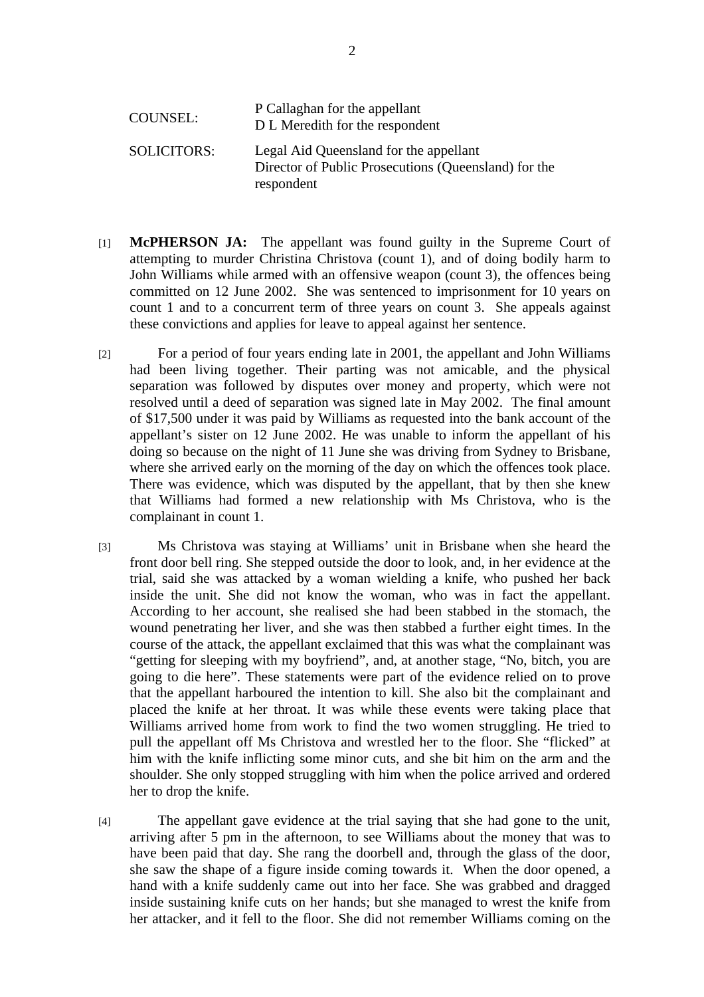| <b>COUNSEL:</b>    | P Callaghan for the appellant<br>D L Meredith for the respondent                                             |
|--------------------|--------------------------------------------------------------------------------------------------------------|
| <b>SOLICITORS:</b> | Legal Aid Queensland for the appellant<br>Director of Public Prosecutions (Queensland) for the<br>respondent |

- [1] **McPHERSON JA:** The appellant was found guilty in the Supreme Court of attempting to murder Christina Christova (count 1), and of doing bodily harm to John Williams while armed with an offensive weapon (count 3), the offences being committed on 12 June 2002. She was sentenced to imprisonment for 10 years on count 1 and to a concurrent term of three years on count 3. She appeals against these convictions and applies for leave to appeal against her sentence.
- [2] For a period of four years ending late in 2001, the appellant and John Williams had been living together. Their parting was not amicable, and the physical separation was followed by disputes over money and property, which were not resolved until a deed of separation was signed late in May 2002. The final amount of \$17,500 under it was paid by Williams as requested into the bank account of the appellant's sister on 12 June 2002. He was unable to inform the appellant of his doing so because on the night of 11 June she was driving from Sydney to Brisbane, where she arrived early on the morning of the day on which the offences took place. There was evidence, which was disputed by the appellant, that by then she knew that Williams had formed a new relationship with Ms Christova, who is the complainant in count 1.
- [3] Ms Christova was staying at Williams' unit in Brisbane when she heard the front door bell ring. She stepped outside the door to look, and, in her evidence at the trial, said she was attacked by a woman wielding a knife, who pushed her back inside the unit. She did not know the woman, who was in fact the appellant. According to her account, she realised she had been stabbed in the stomach, the wound penetrating her liver, and she was then stabbed a further eight times. In the course of the attack, the appellant exclaimed that this was what the complainant was "getting for sleeping with my boyfriend", and, at another stage, "No, bitch, you are going to die here". These statements were part of the evidence relied on to prove that the appellant harboured the intention to kill. She also bit the complainant and placed the knife at her throat. It was while these events were taking place that Williams arrived home from work to find the two women struggling. He tried to pull the appellant off Ms Christova and wrestled her to the floor. She "flicked" at him with the knife inflicting some minor cuts, and she bit him on the arm and the shoulder. She only stopped struggling with him when the police arrived and ordered her to drop the knife.
- [4] The appellant gave evidence at the trial saying that she had gone to the unit, arriving after 5 pm in the afternoon, to see Williams about the money that was to have been paid that day. She rang the doorbell and, through the glass of the door, she saw the shape of a figure inside coming towards it. When the door opened, a hand with a knife suddenly came out into her face. She was grabbed and dragged inside sustaining knife cuts on her hands; but she managed to wrest the knife from her attacker, and it fell to the floor. She did not remember Williams coming on the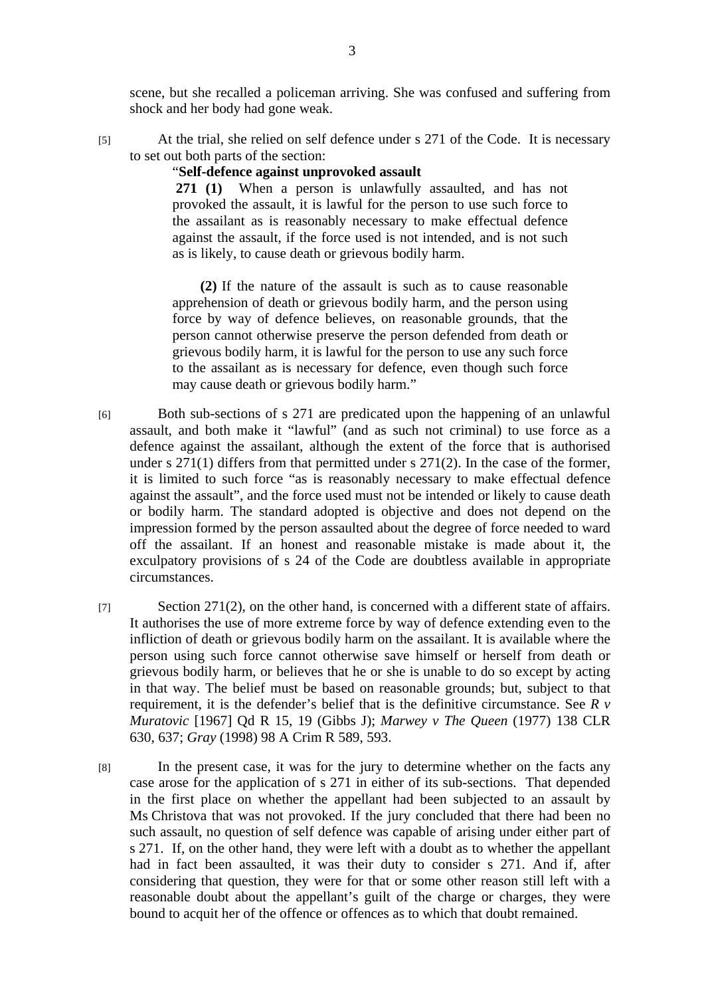scene, but she recalled a policeman arriving. She was confused and suffering from shock and her body had gone weak.

[5] At the trial, she relied on self defence under s 271 of the Code. It is necessary to set out both parts of the section:

## "**Self-defence against unprovoked assault**

 **271 (1)** When a person is unlawfully assaulted, and has not provoked the assault, it is lawful for the person to use such force to the assailant as is reasonably necessary to make effectual defence against the assault, if the force used is not intended, and is not such as is likely, to cause death or grievous bodily harm.

**(2)** If the nature of the assault is such as to cause reasonable apprehension of death or grievous bodily harm, and the person using force by way of defence believes, on reasonable grounds, that the person cannot otherwise preserve the person defended from death or grievous bodily harm, it is lawful for the person to use any such force to the assailant as is necessary for defence, even though such force may cause death or grievous bodily harm."

- [6] Both sub-sections of s 271 are predicated upon the happening of an unlawful assault, and both make it "lawful" (and as such not criminal) to use force as a defence against the assailant, although the extent of the force that is authorised under s 271(1) differs from that permitted under s 271(2). In the case of the former, it is limited to such force "as is reasonably necessary to make effectual defence against the assault", and the force used must not be intended or likely to cause death or bodily harm. The standard adopted is objective and does not depend on the impression formed by the person assaulted about the degree of force needed to ward off the assailant. If an honest and reasonable mistake is made about it, the exculpatory provisions of s 24 of the Code are doubtless available in appropriate circumstances.
- [7] Section 271(2), on the other hand, is concerned with a different state of affairs. It authorises the use of more extreme force by way of defence extending even to the infliction of death or grievous bodily harm on the assailant. It is available where the person using such force cannot otherwise save himself or herself from death or grievous bodily harm, or believes that he or she is unable to do so except by acting in that way. The belief must be based on reasonable grounds; but, subject to that requirement, it is the defender's belief that is the definitive circumstance. See *R v Muratovic* [1967] Qd R 15, 19 (Gibbs J); *Marwey v The Queen* (1977) 138 CLR 630, 637; *Gray* (1998) 98 A Crim R 589, 593.
- [8] In the present case, it was for the jury to determine whether on the facts any case arose for the application of s 271 in either of its sub-sections. That depended in the first place on whether the appellant had been subjected to an assault by Ms Christova that was not provoked. If the jury concluded that there had been no such assault, no question of self defence was capable of arising under either part of s 271. If, on the other hand, they were left with a doubt as to whether the appellant had in fact been assaulted, it was their duty to consider s 271. And if, after considering that question, they were for that or some other reason still left with a reasonable doubt about the appellant's guilt of the charge or charges, they were bound to acquit her of the offence or offences as to which that doubt remained.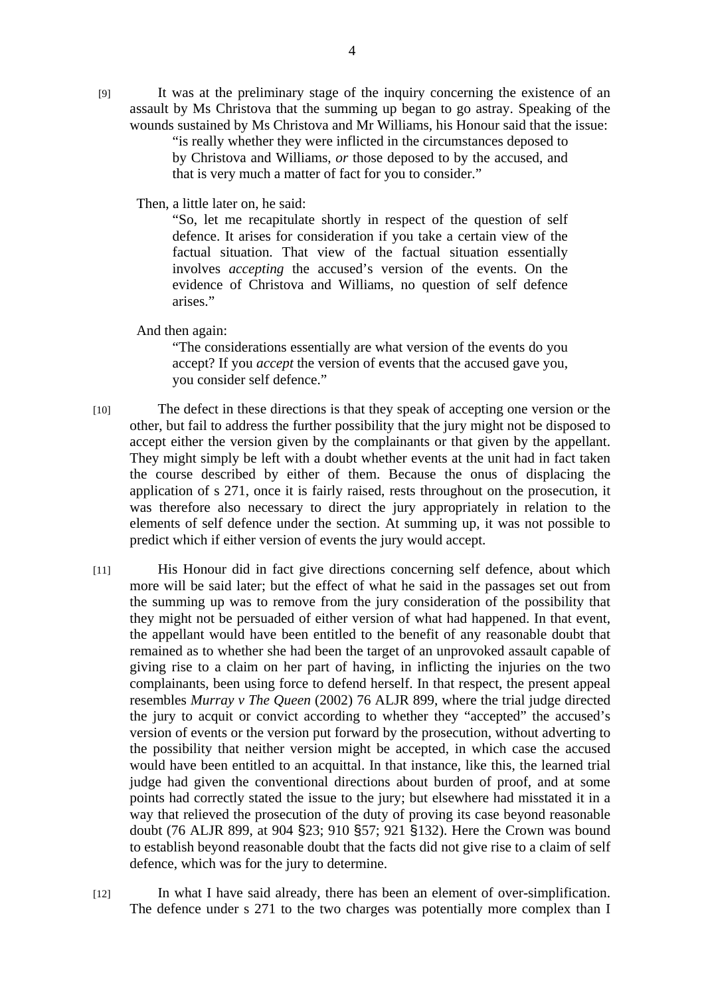[9] It was at the preliminary stage of the inquiry concerning the existence of an assault by Ms Christova that the summing up began to go astray. Speaking of the wounds sustained by Ms Christova and Mr Williams, his Honour said that the issue:

"is really whether they were inflicted in the circumstances deposed to by Christova and Williams, *or* those deposed to by the accused, and that is very much a matter of fact for you to consider."

Then, a little later on, he said:

"So, let me recapitulate shortly in respect of the question of self defence. It arises for consideration if you take a certain view of the factual situation. That view of the factual situation essentially involves *accepting* the accused's version of the events. On the evidence of Christova and Williams, no question of self defence arises."

And then again:

"The considerations essentially are what version of the events do you accept? If you *accept* the version of events that the accused gave you, you consider self defence."

- [10] The defect in these directions is that they speak of accepting one version or the other, but fail to address the further possibility that the jury might not be disposed to accept either the version given by the complainants or that given by the appellant. They might simply be left with a doubt whether events at the unit had in fact taken the course described by either of them. Because the onus of displacing the application of s 271, once it is fairly raised, rests throughout on the prosecution, it was therefore also necessary to direct the jury appropriately in relation to the elements of self defence under the section. At summing up, it was not possible to predict which if either version of events the jury would accept.
- [11] His Honour did in fact give directions concerning self defence, about which more will be said later; but the effect of what he said in the passages set out from the summing up was to remove from the jury consideration of the possibility that they might not be persuaded of either version of what had happened. In that event, the appellant would have been entitled to the benefit of any reasonable doubt that remained as to whether she had been the target of an unprovoked assault capable of giving rise to a claim on her part of having, in inflicting the injuries on the two complainants, been using force to defend herself. In that respect, the present appeal resembles *Murray v The Queen* (2002) 76 ALJR 899, where the trial judge directed the jury to acquit or convict according to whether they "accepted" the accused's version of events or the version put forward by the prosecution, without adverting to the possibility that neither version might be accepted, in which case the accused would have been entitled to an acquittal. In that instance, like this, the learned trial judge had given the conventional directions about burden of proof, and at some points had correctly stated the issue to the jury; but elsewhere had misstated it in a way that relieved the prosecution of the duty of proving its case beyond reasonable doubt (76 ALJR 899, at 904 §23; 910 §57; 921 §132). Here the Crown was bound to establish beyond reasonable doubt that the facts did not give rise to a claim of self defence, which was for the jury to determine.
- [12] In what I have said already, there has been an element of over-simplification. The defence under s 271 to the two charges was potentially more complex than I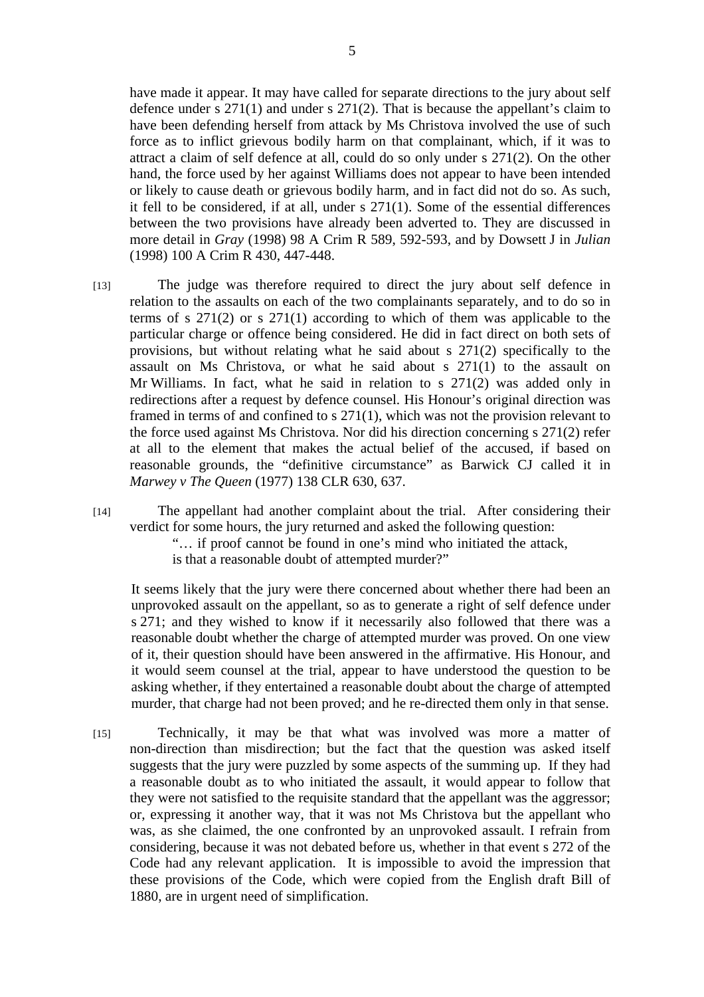have made it appear. It may have called for separate directions to the jury about self defence under s  $271(1)$  and under s  $271(2)$ . That is because the appellant's claim to have been defending herself from attack by Ms Christova involved the use of such force as to inflict grievous bodily harm on that complainant, which, if it was to attract a claim of self defence at all, could do so only under s 271(2). On the other hand, the force used by her against Williams does not appear to have been intended or likely to cause death or grievous bodily harm, and in fact did not do so. As such, it fell to be considered, if at all, under s 271(1). Some of the essential differences between the two provisions have already been adverted to. They are discussed in more detail in *Gray* (1998) 98 A Crim R 589, 592-593, and by Dowsett J in *Julian* (1998) 100 A Crim R 430, 447-448.

[13] The judge was therefore required to direct the jury about self defence in relation to the assaults on each of the two complainants separately, and to do so in terms of s 271(2) or s 271(1) according to which of them was applicable to the particular charge or offence being considered. He did in fact direct on both sets of provisions, but without relating what he said about s 271(2) specifically to the assault on Ms Christova, or what he said about s 271(1) to the assault on Mr Williams. In fact, what he said in relation to s 271(2) was added only in redirections after a request by defence counsel. His Honour's original direction was framed in terms of and confined to s 271(1), which was not the provision relevant to the force used against Ms Christova. Nor did his direction concerning s 271(2) refer at all to the element that makes the actual belief of the accused, if based on reasonable grounds, the "definitive circumstance" as Barwick CJ called it in *Marwey v The Queen* (1977) 138 CLR 630, 637.

[14] The appellant had another complaint about the trial. After considering their verdict for some hours, the jury returned and asked the following question:

> "… if proof cannot be found in one's mind who initiated the attack, is that a reasonable doubt of attempted murder?"

 It seems likely that the jury were there concerned about whether there had been an unprovoked assault on the appellant, so as to generate a right of self defence under s 271; and they wished to know if it necessarily also followed that there was a reasonable doubt whether the charge of attempted murder was proved. On one view of it, their question should have been answered in the affirmative. His Honour, and it would seem counsel at the trial, appear to have understood the question to be asking whether, if they entertained a reasonable doubt about the charge of attempted murder, that charge had not been proved; and he re-directed them only in that sense.

[15] Technically, it may be that what was involved was more a matter of non-direction than misdirection; but the fact that the question was asked itself suggests that the jury were puzzled by some aspects of the summing up. If they had a reasonable doubt as to who initiated the assault, it would appear to follow that they were not satisfied to the requisite standard that the appellant was the aggressor; or, expressing it another way, that it was not Ms Christova but the appellant who was, as she claimed, the one confronted by an unprovoked assault. I refrain from considering, because it was not debated before us, whether in that event s 272 of the Code had any relevant application. It is impossible to avoid the impression that these provisions of the Code, which were copied from the English draft Bill of 1880, are in urgent need of simplification.